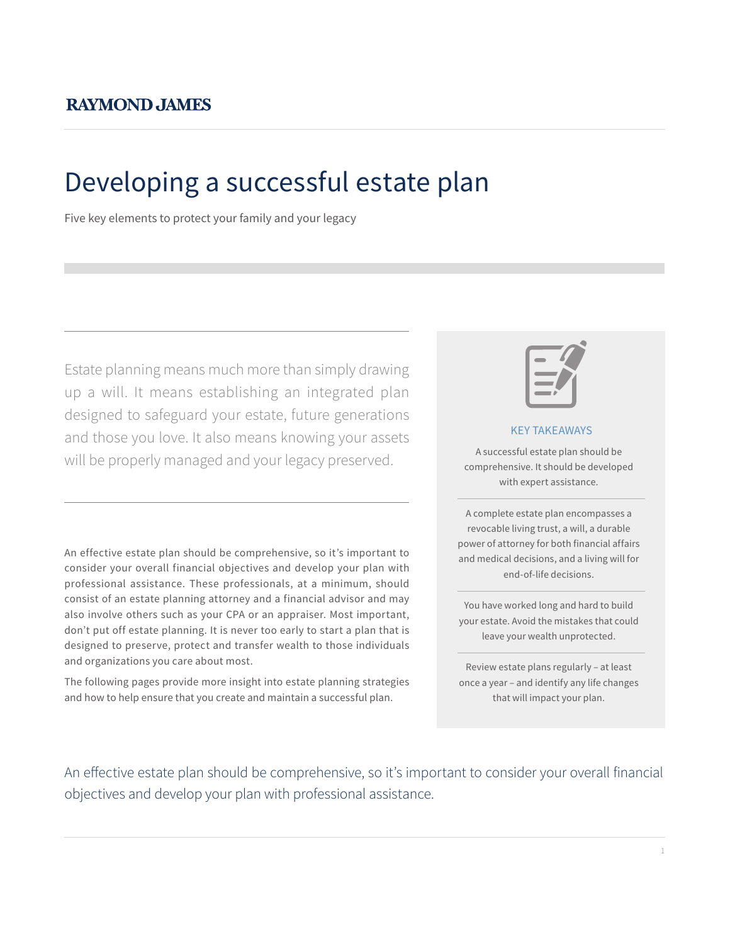# Developing a successful estate plan

Five key elements to protect your family and your legacy

Estate planning means much more than simply drawing up a will. It means establishing an integrated plan designed to safeguard your estate, future generations and those you love. It also means knowing your assets will be properly managed and your legacy preserved.

An effective estate plan should be comprehensive, so it's important to consider your overall financial objectives and develop your plan with professional assistance. These professionals, at a minimum, should consist of an estate planning attorney and a financial advisor and may also involve others such as your CPA or an appraiser. Most important, don't put off estate planning. It is never too early to start a plan that is designed to preserve, protect and transfer wealth to those individuals and organizations you care about most.

The following pages provide more insight into estate planning strategies and how to help ensure that you create and maintain a successful plan.



#### KEY TAKEAWAYS

A successful estate plan should be comprehensive. It should be developed with expert assistance.

A complete estate plan encompasses a revocable living trust, a will, a durable power of attorney for both financial affairs and medical decisions, and a living will for end-of-life decisions.

You have worked long and hard to build your estate. Avoid the mistakes that could leave your wealth unprotected.

Review estate plans regularly – at least once a year – and identify any life changes that will impact your plan.

An effective estate plan should be comprehensive, so it's important to consider your overall financial objectives and develop your plan with professional assistance.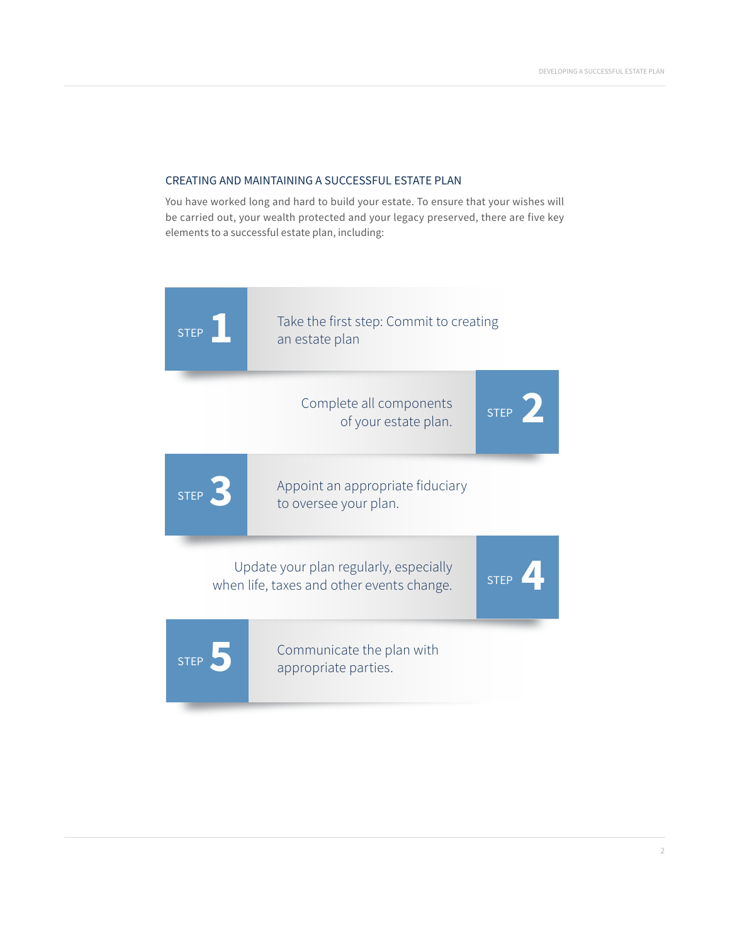# CREATING AND MAINTAINING A SUCCESSFUL ESTATE PLAN

You have worked long and hard to build your estate. To ensure that your wishes will be carried out, your wealth protected and your legacy preserved, there are five key elements to a successful estate plan, including:

| <b>STEP</b> | Take the first step: Commit to creating<br>an estate plan                           |             |
|-------------|-------------------------------------------------------------------------------------|-------------|
|             | Complete all components<br>of your estate plan.                                     | <b>STEP</b> |
| <b>STEP</b> | Appoint an appropriate fiduciary<br>to oversee your plan.                           |             |
|             | Update your plan regularly, especially<br>when life, taxes and other events change. | <b>STEP</b> |
| <b>STEP</b> | Communicate the plan with<br>appropriate parties.                                   |             |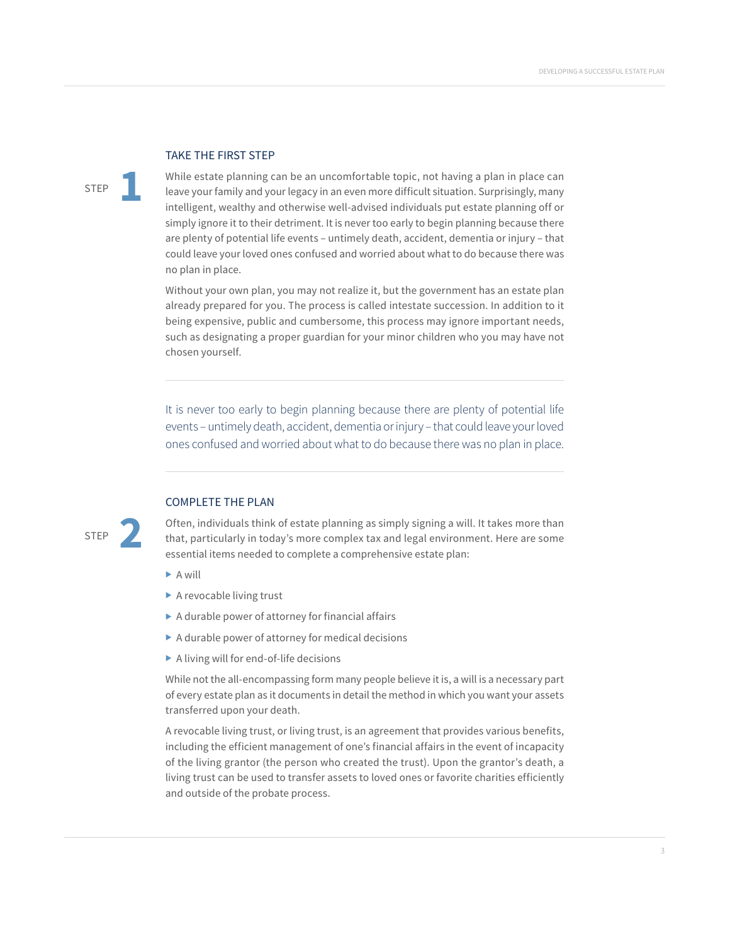#### TAKE THE FIRST STEP

STEP **1**

While estate planning can be an uncomfortable topic, not having a plan in place can leave your family and your legacy in an even more difficult situation. Surprisingly, many intelligent, wealthy and otherwise well-advised individuals put estate planning off or simply ignore it to their detriment. It is never too early to begin planning because there are plenty of potential life events – untimely death, accident, dementia or injury – that could leave your loved ones confused and worried about what to do because there was no plan in place.

Without your own plan, you may not realize it, but the government has an estate plan already prepared for you. The process is called intestate succession. In addition to it being expensive, public and cumbersome, this process may ignore important needs, such as designating a proper guardian for your minor children who you may have not chosen yourself.

It is never too early to begin planning because there are plenty of potential life events – untimely death, accident, dementia or injury – that could leave your loved ones confused and worried about what to do because there was no plan in place.



# COMPLETE THE PLAN

Often, individuals think of estate planning as simply signing a will. It takes more than that, particularly in today's more complex tax and legal environment. Here are some essential items needed to complete a comprehensive estate plan:

- $\blacktriangleright$  A will
- $\blacktriangleright$  A revocable living trust
- $\blacktriangleright$  A durable power of attorney for financial affairs
- $\triangleright$  A durable power of attorney for medical decisions
- $\blacktriangleright$  A living will for end-of-life decisions

While not the all-encompassing form many people believe it is, a will is a necessary part of every estate plan as it documents in detail the method in which you want your assets transferred upon your death.

A revocable living trust, or living trust, is an agreement that provides various benefits, including the efficient management of one's financial affairs in the event of incapacity of the living grantor (the person who created the trust). Upon the grantor's death, a living trust can be used to transfer assets to loved ones or favorite charities efficiently and outside of the probate process.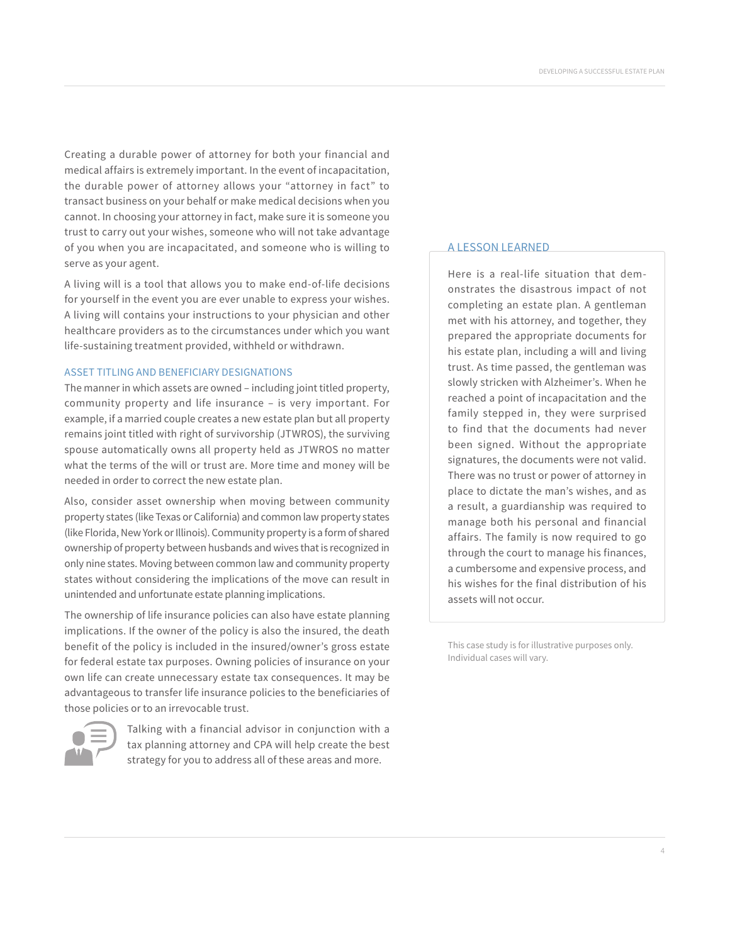Creating a durable power of attorney for both your financial and medical affairs is extremely important. In the event of incapacitation, the durable power of attorney allows your "attorney in fact" to transact business on your behalf or make medical decisions when you cannot. In choosing your attorney in fact, make sure it is someone you trust to carry out your wishes, someone who will not take advantage of you when you are incapacitated, and someone who is willing to serve as your agent.

A living will is a tool that allows you to make end-of-life decisions for yourself in the event you are ever unable to express your wishes. A living will contains your instructions to your physician and other healthcare providers as to the circumstances under which you want life-sustaining treatment provided, withheld or withdrawn.

### ASSET TITLING AND BENEFICIARY DESIGNATIONS

The manner in which assets are owned – including joint titled property, community property and life insurance – is very important. For example, if a married couple creates a new estate plan but all property remains joint titled with right of survivorship (JTWROS), the surviving spouse automatically owns all property held as JTWROS no matter what the terms of the will or trust are. More time and money will be needed in order to correct the new estate plan.

Also, consider asset ownership when moving between community property states (like Texas or California) and common law property states (like Florida, New York or Illinois). Community property is a form of shared ownership of property between husbands and wives that is recognized in only nine states. Moving between common law and community property states without considering the implications of the move can result in unintended and unfortunate estate planning implications.

The ownership of life insurance policies can also have estate planning implications. If the owner of the policy is also the insured, the death benefit of the policy is included in the insured/owner's gross estate for federal estate tax purposes. Owning policies of insurance on your own life can create unnecessary estate tax consequences. It may be advantageous to transfer life insurance policies to the beneficiaries of those policies or to an irrevocable trust.



Talking with a financial advisor in conjunction with a tax planning attorney and CPA will help create the best strategy for you to address all of these areas and more.

#### A LESSON LEARNED

Here is a real-life situation that demonstrates the disastrous impact of not completing an estate plan. A gentleman met with his attorney, and together, they prepared the appropriate documents for his estate plan, including a will and living trust. As time passed, the gentleman was slowly stricken with Alzheimer's. When he reached a point of incapacitation and the family stepped in, they were surprised to find that the documents had never been signed. Without the appropriate signatures, the documents were not valid. There was no trust or power of attorney in place to dictate the man's wishes, and as a result, a guardianship was required to manage both his personal and financial affairs. The family is now required to go through the court to manage his finances, a cumbersome and expensive process, and his wishes for the final distribution of his assets will not occur.

This case study is for illustrative purposes only. Individual cases will vary.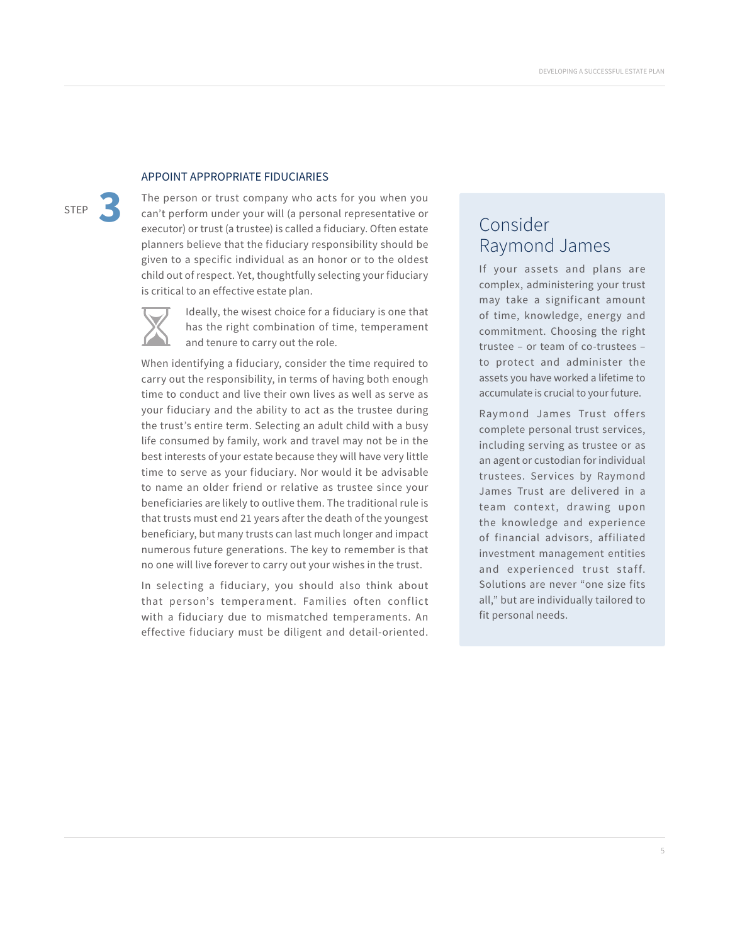# APPOINT APPROPRIATE FIDUCIARIES

STEP **3**

The person or trust company who acts for you when you can't perform under your will (a personal representative or executor) or trust (a trustee) is called a fiduciary. Often estate planners believe that the fiduciary responsibility should be given to a specific individual as an honor or to the oldest child out of respect. Yet, thoughtfully selecting your fiduciary is critical to an effective estate plan.



Ideally, the wisest choice for a fiduciary is one that has the right combination of time, temperament and tenure to carry out the role.

When identifying a fiduciary, consider the time required to carry out the responsibility, in terms of having both enough time to conduct and live their own lives as well as serve as your fiduciary and the ability to act as the trustee during the trust's entire term. Selecting an adult child with a busy life consumed by family, work and travel may not be in the best interests of your estate because they will have very little time to serve as your fiduciary. Nor would it be advisable to name an older friend or relative as trustee since your beneficiaries are likely to outlive them. The traditional rule is that trusts must end 21 years after the death of the youngest beneficiary, but many trusts can last much longer and impact numerous future generations. The key to remember is that no one will live forever to carry out your wishes in the trust.

In selecting a fiduciary, you should also think about that person's temperament. Families often conflict with a fiduciary due to mismatched temperaments. An effective fiduciary must be diligent and detail-oriented.

# Consider Raymond James

If your assets and plans are complex, administering your trust may take a significant amount of time, knowledge, energy and commitment. Choosing the right trustee – or team of co-trustees – to protect and administer the assets you have worked a lifetime to accumulate is crucial to your future.

Raymond James Trust offers complete personal trust services, including serving as trustee or as an agent or custodian for individual trustees. Services by Raymond James Trust are delivered in a team context, drawing upon the knowledge and experience of financial advisors, affiliated investment management entities and experienced trust staff. Solutions are never "one size fits all," but are individually tailored to fit personal needs.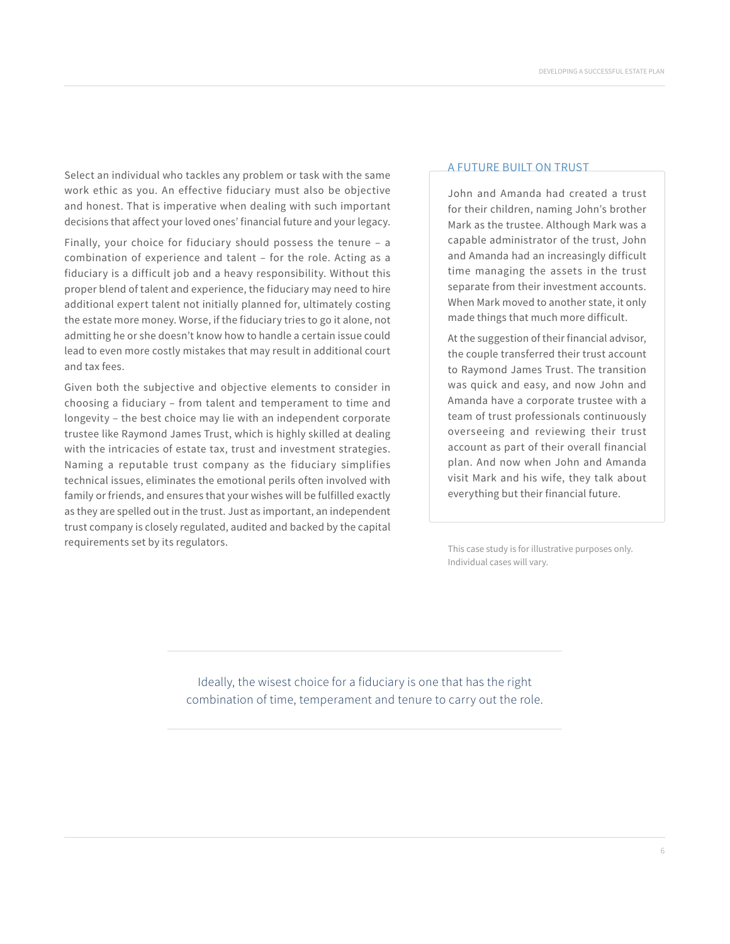Select an individual who tackles any problem or task with the same work ethic as you. An effective fiduciary must also be objective and honest. That is imperative when dealing with such important decisions that affect your loved ones' financial future and your legacy.

Finally, your choice for fiduciary should possess the tenure – a combination of experience and talent – for the role. Acting as a fiduciary is a difficult job and a heavy responsibility. Without this proper blend of talent and experience, the fiduciary may need to hire additional expert talent not initially planned for, ultimately costing the estate more money. Worse, if the fiduciary tries to go it alone, not admitting he or she doesn't know how to handle a certain issue could lead to even more costly mistakes that may result in additional court and tax fees.

Given both the subjective and objective elements to consider in choosing a fiduciary – from talent and temperament to time and longevity – the best choice may lie with an independent corporate trustee like Raymond James Trust, which is highly skilled at dealing with the intricacies of estate tax, trust and investment strategies. Naming a reputable trust company as the fiduciary simplifies technical issues, eliminates the emotional perils often involved with family or friends, and ensures that your wishes will be fulfilled exactly as they are spelled out in the trust. Just as important, an independent trust company is closely regulated, audited and backed by the capital requirements set by its regulators.

#### A FUTURE BUILT ON TRUST

John and Amanda had created a trust for their children, naming John's brother Mark as the trustee. Although Mark was a capable administrator of the trust, John and Amanda had an increasingly difficult time managing the assets in the trust separate from their investment accounts. When Mark moved to another state, it only made things that much more difficult.

At the suggestion of their financial advisor, the couple transferred their trust account to Raymond James Trust. The transition was quick and easy, and now John and Amanda have a corporate trustee with a team of trust professionals continuously overseeing and reviewing their trust account as part of their overall financial plan. And now when John and Amanda visit Mark and his wife, they talk about everything but their financial future.

This case study is for illustrative purposes only. Individual cases will vary.

Ideally, the wisest choice for a fiduciary is one that has the right combination of time, temperament and tenure to carry out the role.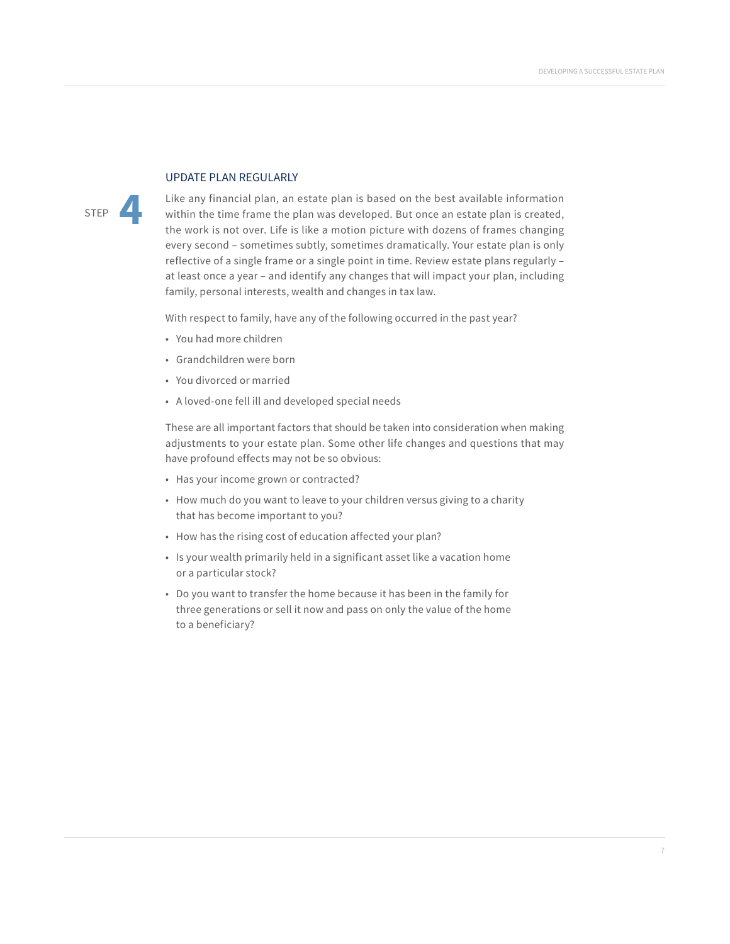# UPDATE PLAN REGULARLY

STEP **4**

Like any financial plan, an estate plan is based on the best available information within the time frame the plan was developed. But once an estate plan is created, the work is not over. Life is like a motion picture with dozens of frames changing every second – sometimes subtly, sometimes dramatically. Your estate plan is only reflective of a single frame or a single point in time. Review estate plans regularly – at least once a year – and identify any changes that will impact your plan, including family, personal interests, wealth and changes in tax law.

With respect to family, have any of the following occurred in the past year?

- You had more children
- Grandchildren were born
- You divorced or married
- A loved-one fell ill and developed special needs

These are all important factors that should be taken into consideration when making adjustments to your estate plan. Some other life changes and questions that may have profound effects may not be so obvious:

- Has your income grown or contracted?
- How much do you want to leave to your children versus giving to a charity that has become important to you?
- How has the rising cost of education affected your plan?
- Is your wealth primarily held in a significant asset like a vacation home or a particular stock?
- Do you want to transfer the home because it has been in the family for three generations or sell it now and pass on only the value of the home to a beneficiary?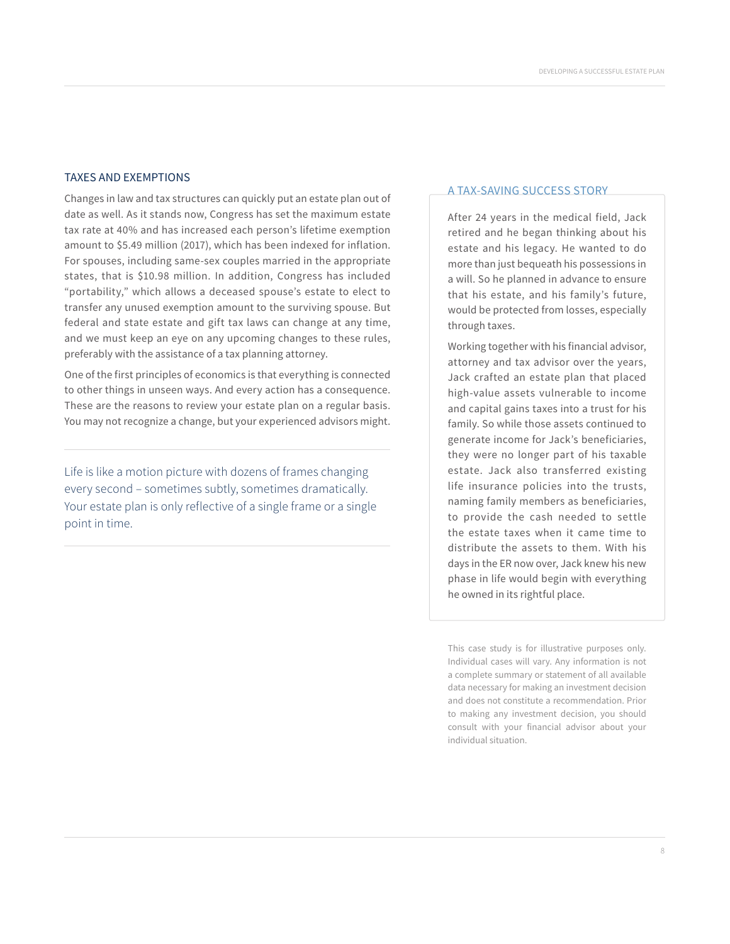### TAXES AND EXEMPTIONS

Changes in law and tax structures can quickly put an estate plan out of date as well. As it stands now, Congress has set the maximum estate tax rate at 40% and has increased each person's lifetime exemption amount to \$5.49 million (2017), which has been indexed for inflation. For spouses, including same-sex couples married in the appropriate states, that is \$10.98 million. In addition, Congress has included "portability," which allows a deceased spouse's estate to elect to transfer any unused exemption amount to the surviving spouse. But federal and state estate and gift tax laws can change at any time, and we must keep an eye on any upcoming changes to these rules, preferably with the assistance of a tax planning attorney.

One of the first principles of economics is that everything is connected to other things in unseen ways. And every action has a consequence. These are the reasons to review your estate plan on a regular basis. You may not recognize a change, but your experienced advisors might.

Life is like a motion picture with dozens of frames changing every second – sometimes subtly, sometimes dramatically. Your estate plan is only reflective of a single frame or a single point in time.

#### A TAX-SAVING SUCCESS STORY

After 24 years in the medical field, Jack retired and he began thinking about his estate and his legacy. He wanted to do more than just bequeath his possessions in a will. So he planned in advance to ensure that his estate, and his family's future, would be protected from losses, especially through taxes.

Working together with his financial advisor, attorney and tax advisor over the years, Jack crafted an estate plan that placed high-value assets vulnerable to income and capital gains taxes into a trust for his family. So while those assets continued to generate income for Jack's beneficiaries, they were no longer part of his taxable estate. Jack also transferred existing life insurance policies into the trusts, naming family members as beneficiaries, to provide the cash needed to settle the estate taxes when it came time to distribute the assets to them. With his days in the ER now over, Jack knew his new phase in life would begin with everything he owned in its rightful place.

This case study is for illustrative purposes only. Individual cases will vary. Any information is not a complete summary or statement of all available data necessary for making an investment decision and does not constitute a recommendation. Prior to making any investment decision, you should consult with your financial advisor about your individual situation.